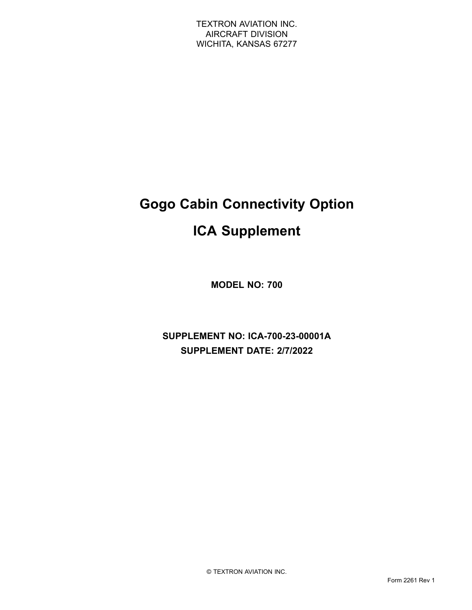# **Gogo Cabin Connectivity Option**

# **ICA Supplement**

**MODEL NO: 700**

**SUPPLEMENT NO: ICA-700-23-00001A SUPPLEMENT DATE: 2/7/2022**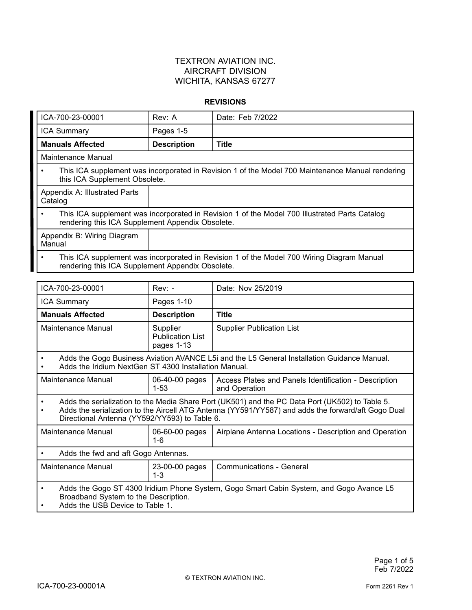#### **REVISIONS**

| ICA-700-23-00001                                                                                                                                               | Rev: A             | Date: Feb 7/2022 |  |  |
|----------------------------------------------------------------------------------------------------------------------------------------------------------------|--------------------|------------------|--|--|
| <b>ICA Summary</b>                                                                                                                                             | Pages 1-5          |                  |  |  |
| <b>Manuals Affected</b>                                                                                                                                        | <b>Description</b> | <b>Title</b>     |  |  |
| Maintenance Manual                                                                                                                                             |                    |                  |  |  |
| This ICA supplement was incorporated in Revision 1 of the Model 700 Maintenance Manual rendering<br>this ICA Supplement Obsolete.                              |                    |                  |  |  |
| Appendix A: Illustrated Parts<br>Catalog                                                                                                                       |                    |                  |  |  |
| This ICA supplement was incorporated in Revision 1 of the Model 700 Illustrated Parts Catalog<br>$\bullet$<br>rendering this ICA Supplement Appendix Obsolete. |                    |                  |  |  |
| Appendix B: Wiring Diagram<br>Manual                                                                                                                           |                    |                  |  |  |
| This ICA supplement was incorporated in Revision 1 of the Model 700 Wiring Diagram Manual<br>$\bullet$<br>rendering this ICA Supplement Appendix Obsolete.     |                    |                  |  |  |

| ICA-700-23-00001                                                                                                                                                                                                                                       |  | $Rev: -$                                          | Date: Nov 25/2019                                                      |
|--------------------------------------------------------------------------------------------------------------------------------------------------------------------------------------------------------------------------------------------------------|--|---------------------------------------------------|------------------------------------------------------------------------|
| ICA Summary                                                                                                                                                                                                                                            |  | Pages 1-10                                        |                                                                        |
| <b>Manuals Affected</b>                                                                                                                                                                                                                                |  | <b>Description</b>                                | <b>Title</b>                                                           |
| Maintenance Manual                                                                                                                                                                                                                                     |  | Supplier<br><b>Publication List</b><br>pages 1-13 | <b>Supplier Publication List</b>                                       |
| Adds the Gogo Business Aviation AVANCE L5i and the L5 General Installation Guidance Manual.<br>Adds the Iridium NextGen ST 4300 Installation Manual.                                                                                                   |  |                                                   |                                                                        |
| Maintenance Manual                                                                                                                                                                                                                                     |  | 06-40-00 pages<br>$1 - 53$                        | Access Plates and Panels Identification - Description<br>and Operation |
| Adds the serialization to the Media Share Port (UK501) and the PC Data Port (UK502) to Table 5.<br>Adds the serialization to the Aircell ATG Antenna (YY591/YY587) and adds the forward/aft Gogo Dual<br>Directional Antenna (YY592/YY593) to Table 6. |  |                                                   |                                                                        |
| Maintenance Manual                                                                                                                                                                                                                                     |  | 06-60-00 pages<br>$1 - 6$                         | Airplane Antenna Locations - Description and Operation                 |
| Adds the fwd and aft Gogo Antennas.                                                                                                                                                                                                                    |  |                                                   |                                                                        |
| Maintenance Manual                                                                                                                                                                                                                                     |  | 23-00-00 pages<br>$1 - 3$                         | <b>Communications - General</b>                                        |
| Adds the Gogo ST 4300 Iridium Phone System, Gogo Smart Cabin System, and Gogo Avance L5<br>$\bullet$<br>Broadband System to the Description.<br>Adds the USB Device to Table 1.                                                                        |  |                                                   |                                                                        |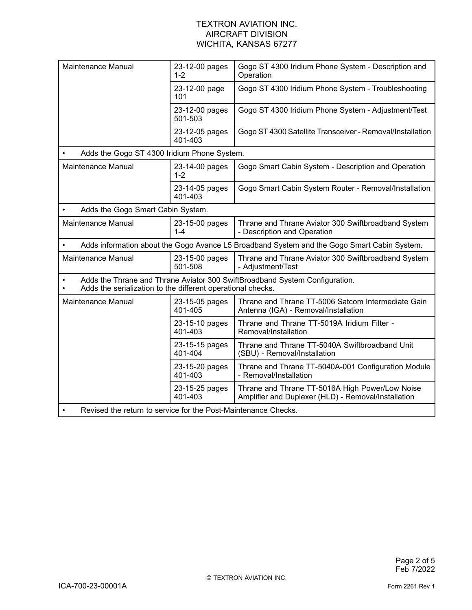| Maintenance Manual                                                                                                                         | 23-12-00 pages<br>$1 - 2$ | Gogo ST 4300 Iridium Phone System - Description and<br>Operation                                       |  |  |
|--------------------------------------------------------------------------------------------------------------------------------------------|---------------------------|--------------------------------------------------------------------------------------------------------|--|--|
|                                                                                                                                            | 23-12-00 page<br>101      | Gogo ST 4300 Iridium Phone System - Troubleshooting                                                    |  |  |
|                                                                                                                                            | 23-12-00 pages<br>501-503 | Gogo ST 4300 Iridium Phone System - Adjustment/Test                                                    |  |  |
|                                                                                                                                            | 23-12-05 pages<br>401-403 | Gogo ST 4300 Satellite Transceiver - Removal/Installation                                              |  |  |
| Adds the Gogo ST 4300 Iridium Phone System.                                                                                                |                           |                                                                                                        |  |  |
| Maintenance Manual                                                                                                                         | 23-14-00 pages<br>$1 - 2$ | Gogo Smart Cabin System - Description and Operation                                                    |  |  |
|                                                                                                                                            | 23-14-05 pages<br>401-403 | Gogo Smart Cabin System Router - Removal/Installation                                                  |  |  |
| Adds the Gogo Smart Cabin System.                                                                                                          |                           |                                                                                                        |  |  |
| Maintenance Manual                                                                                                                         | 23-15-00 pages<br>$1 - 4$ | Thrane and Thrane Aviator 300 Swiftbroadband System<br>- Description and Operation                     |  |  |
| Adds information about the Gogo Avance L5 Broadband System and the Gogo Smart Cabin System.                                                |                           |                                                                                                        |  |  |
| Maintenance Manual                                                                                                                         | 23-15-00 pages<br>501-508 | Thrane and Thrane Aviator 300 Swiftbroadband System<br>- Adjustment/Test                               |  |  |
| Adds the Thrane and Thrane Aviator 300 SwiftBroadband System Configuration.<br>Adds the serialization to the different operational checks. |                           |                                                                                                        |  |  |
| Maintenance Manual                                                                                                                         | 23-15-05 pages<br>401-405 | Thrane and Thrane TT-5006 Satcom Intermediate Gain<br>Antenna (IGA) - Removal/Installation             |  |  |
|                                                                                                                                            | 23-15-10 pages<br>401-403 | Thrane and Thrane TT-5019A Iridium Filter -<br>Removal/Installation                                    |  |  |
|                                                                                                                                            | 23-15-15 pages<br>401-404 | Thrane and Thrane TT-5040A Swiftbroadband Unit<br>(SBU) - Removal/Installation                         |  |  |
|                                                                                                                                            | 23-15-20 pages<br>401-403 | Thrane and Thrane TT-5040A-001 Configuration Module<br>- Removal/Installation                          |  |  |
|                                                                                                                                            | 23-15-25 pages<br>401-403 | Thrane and Thrane TT-5016A High Power/Low Noise<br>Amplifier and Duplexer (HLD) - Removal/Installation |  |  |
| Revised the return to service for the Post-Maintenance Checks.                                                                             |                           |                                                                                                        |  |  |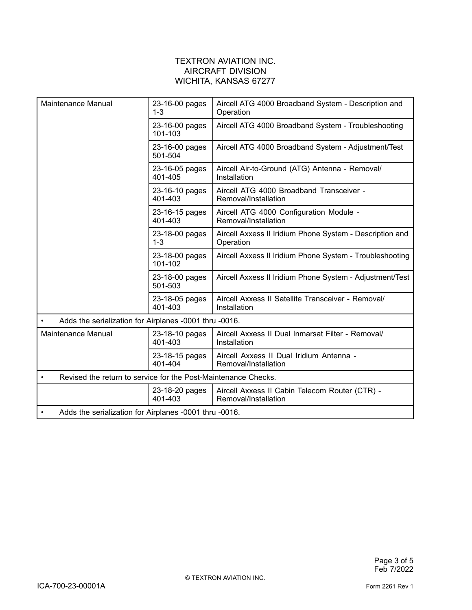| Maintenance Manual                                             | 23-16-00 pages<br>$1 - 3$ | Aircell ATG 4000 Broadband System - Description and<br>Operation       |
|----------------------------------------------------------------|---------------------------|------------------------------------------------------------------------|
|                                                                | 23-16-00 pages<br>101-103 | Aircell ATG 4000 Broadband System - Troubleshooting                    |
|                                                                | 23-16-00 pages<br>501-504 | Aircell ATG 4000 Broadband System - Adjustment/Test                    |
|                                                                | 23-16-05 pages<br>401-405 | Aircell Air-to-Ground (ATG) Antenna - Removal/<br>Installation         |
|                                                                | 23-16-10 pages<br>401-403 | Aircell ATG 4000 Broadband Transceiver -<br>Removal/Installation       |
|                                                                | 23-16-15 pages<br>401-403 | Aircell ATG 4000 Configuration Module -<br>Removal/Installation        |
|                                                                | 23-18-00 pages<br>$1 - 3$ | Aircell Axxess II Iridium Phone System - Description and<br>Operation  |
|                                                                | 23-18-00 pages<br>101-102 | Aircell Axxess II Iridium Phone System - Troubleshooting               |
|                                                                | 23-18-00 pages<br>501-503 | Aircell Axxess II Iridium Phone System - Adjustment/Test               |
|                                                                | 23-18-05 pages<br>401-403 | Aircell Axxess II Satellite Transceiver - Removal/<br>Installation     |
| Adds the serialization for Airplanes -0001 thru -0016.         |                           |                                                                        |
| <b>Maintenance Manual</b>                                      | 23-18-10 pages<br>401-403 | Aircell Axxess II Dual Inmarsat Filter - Removal/<br>Installation      |
|                                                                | 23-18-15 pages<br>401-404 | Aircell Axxess II Dual Iridium Antenna -<br>Removal/Installation       |
| Revised the return to service for the Post-Maintenance Checks. |                           |                                                                        |
|                                                                | 23-18-20 pages<br>401-403 | Aircell Axxess II Cabin Telecom Router (CTR) -<br>Removal/Installation |
| Adds the serialization for Airplanes -0001 thru -0016.         |                           |                                                                        |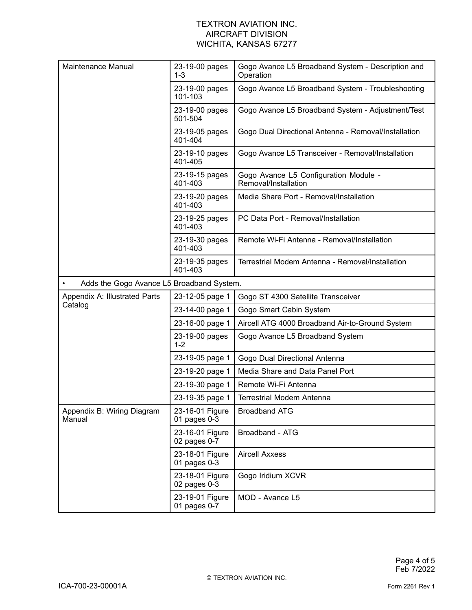| Maintenance Manual                                     | 23-19-00 pages<br>$1 - 3$           | Gogo Avance L5 Broadband System - Description and<br>Operation |
|--------------------------------------------------------|-------------------------------------|----------------------------------------------------------------|
|                                                        | 23-19-00 pages<br>101-103           | Gogo Avance L5 Broadband System - Troubleshooting              |
|                                                        | 23-19-00 pages<br>501-504           | Gogo Avance L5 Broadband System - Adjustment/Test              |
|                                                        | 23-19-05 pages<br>401-404           | Gogo Dual Directional Antenna - Removal/Installation           |
|                                                        | 23-19-10 pages<br>401-405           | Gogo Avance L5 Transceiver - Removal/Installation              |
|                                                        | 23-19-15 pages<br>401-403           | Gogo Avance L5 Configuration Module -<br>Removal/Installation  |
|                                                        | 23-19-20 pages<br>401-403           | Media Share Port - Removal/Installation                        |
|                                                        | 23-19-25 pages<br>401-403           | PC Data Port - Removal/Installation                            |
|                                                        | 23-19-30 pages<br>401-403           | Remote Wi-Fi Antenna - Removal/Installation                    |
|                                                        | 23-19-35 pages<br>401-403           | Terrestrial Modem Antenna - Removal/Installation               |
| Adds the Gogo Avance L5 Broadband System.<br>$\bullet$ |                                     |                                                                |
| Appendix A: Illustrated Parts                          | 23-12-05 page 1                     | Gogo ST 4300 Satellite Transceiver                             |
| Catalog                                                | 23-14-00 page 1                     | Gogo Smart Cabin System                                        |
|                                                        | 23-16-00 page 1                     | Aircell ATG 4000 Broadband Air-to-Ground System                |
|                                                        | 23-19-00 pages<br>$1 - 2$           | Gogo Avance L5 Broadband System                                |
|                                                        | 23-19-05 page 1                     | Gogo Dual Directional Antenna                                  |
|                                                        | 23-19-20 page 1                     | Media Share and Data Panel Port                                |
|                                                        | 23-19-30 page 1                     | Remote Wi-Fi Antenna                                           |
|                                                        | 23-19-35 page 1                     | <b>Terrestrial Modem Antenna</b>                               |
| Appendix B: Wiring Diagram<br>Manual                   | 23-16-01 Figure<br>01 pages $0-3$   | <b>Broadband ATG</b>                                           |
|                                                        | 23-16-01 Figure<br>02 pages 0-7     | Broadband - ATG                                                |
|                                                        | 23-18-01 Figure<br>01 pages 0-3     | <b>Aircell Axxess</b>                                          |
|                                                        | 23-18-01 Figure<br>$02$ pages $0-3$ | Gogo Iridium XCVR                                              |
|                                                        | 23-19-01 Figure<br>01 pages 0-7     | MOD - Avance L5                                                |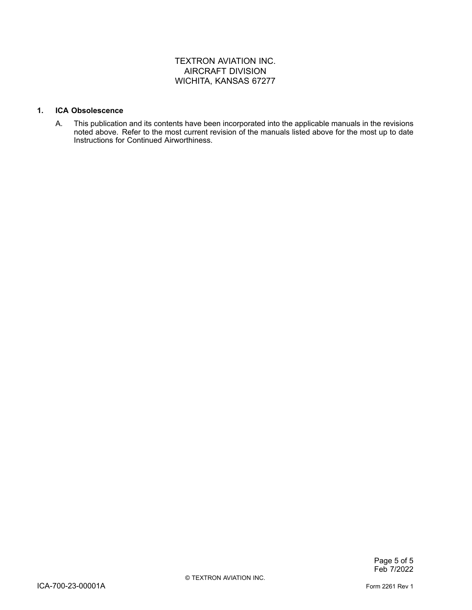#### **1. ICA Obsolescence**

A. This publication and its contents have been incorporated into the applicable manuals in the revisions noted above. Refer to the most current revision of the manuals listed above for the most up to date Instructions for Continued Airworthiness.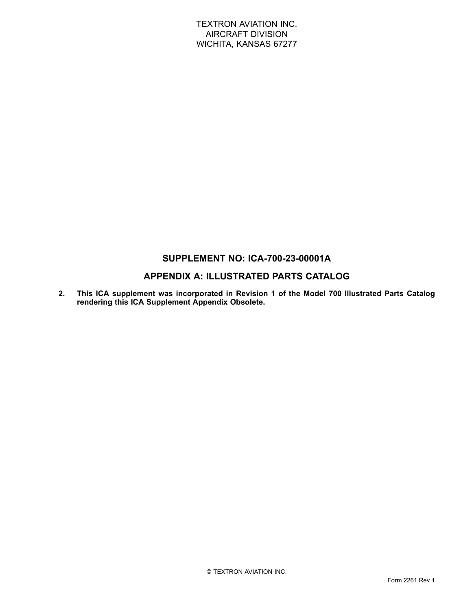# **SUPPLEMENT NO: ICA-700-23-00001A**

# **APPENDIX A: ILLUSTRATED PARTS CATALOG**

**2. This ICA supplement was incorporated in Revision 1 of the Model 700 Illustrated Parts Catalog rendering this ICA Supplement Appendix Obsolete.**